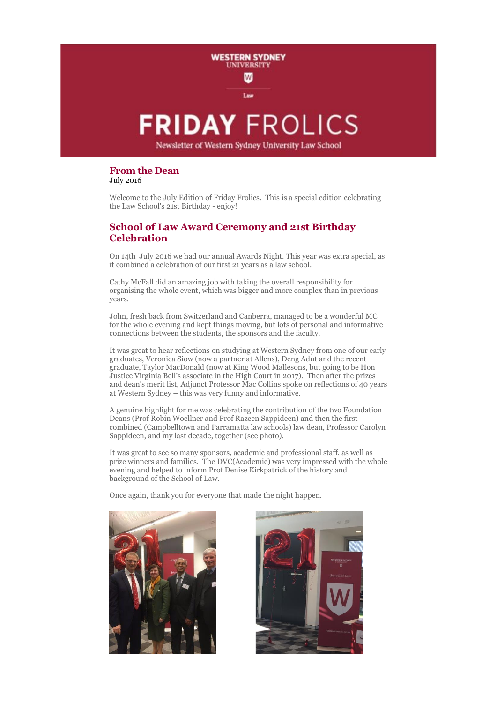

# **From the Dean**

July 2016

Welcome to the July Edition of Friday Frolics. This is a special edition celebrating the Law School's 21st Birthday - enjoy!

# **School of Law Award Ceremony and 21st Birthday Celebration**

On 14th July 2016 we had our annual Awards Night. This year was extra special, as it combined a celebration of our first 21 years as a law school.

Cathy McFall did an amazing job with taking the overall responsibility for organising the whole event, which was bigger and more complex than in previous years.

John, fresh back from Switzerland and Canberra, managed to be a wonderful MC for the whole evening and kept things moving, but lots of personal and informative connections between the students, the sponsors and the faculty.

It was great to hear reflections on studying at Western Sydney from one of our early graduates, Veronica Siow (now a partner at Allens), Deng Adut and the recent graduate, Taylor MacDonald (now at King Wood Mallesons, but going to be Hon Justice Virginia Bell's associate in the High Court in 2017). Then after the prizes and dean's merit list, Adjunct Professor Mac Collins spoke on reflections of 40 years at Western Sydney – this was very funny and informative.

A genuine highlight for me was celebrating the contribution of the two Foundation Deans (Prof Robin Woellner and Prof Razeen Sappideen) and then the first combined (Campbelltown and Parramatta law schools) law dean, Professor Carolyn Sappideen, and my last decade, together (see photo).

It was great to see so many sponsors, academic and professional staff, as well as prize winners and families. The DVC(Academic) was very impressed with the whole evening and helped to inform Prof Denise Kirkpatrick of the history and background of the School of Law.

Once again, thank you for everyone that made the night happen.



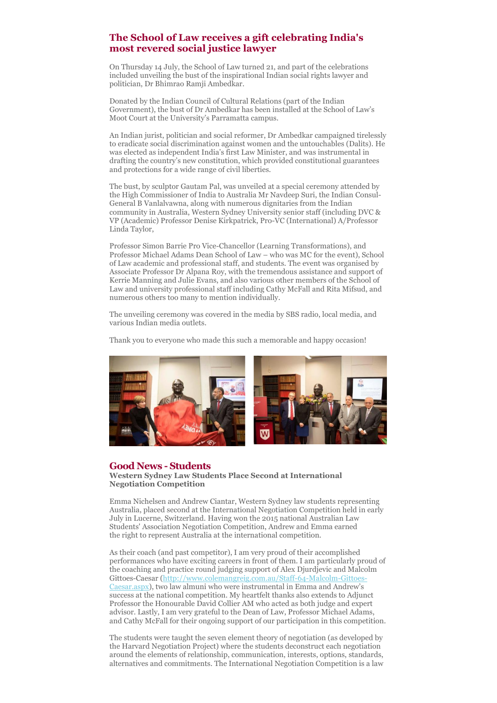# **The School of Law receives a gift celebrating India's most revered social justice lawyer**

On Thursday 14 July, the School of Law turned 21, and part of the celebrations included unveiling the bust of the inspirational Indian social rights lawyer and politician, Dr Bhimrao Ramji Ambedkar.

Donated by the Indian Council of Cultural Relations (part of the Indian Government), the bust of Dr Ambedkar has been installed at the School of Law's Moot Court at the University's Parramatta campus.

An Indian jurist, politician and social reformer, Dr Ambedkar campaigned tirelessly to eradicate social discrimination against women and the untouchables (Dalits). He was elected as independent India's first Law Minister, and was instrumental in drafting the country's new constitution, which provided constitutional guarantees and protections for a wide range of civil liberties.

The bust, by sculptor Gautam Pal, was unveiled at a special ceremony attended by the High Commissioner of India to Australia Mr Navdeep Suri, the Indian Consul-General B Vanlalvawna, along with numerous dignitaries from the Indian community in Australia, Western Sydney University senior staff (including DVC & VP (Academic) Professor Denise Kirkpatrick, Pro-VC (International) A/Professor Linda Taylor,

Professor Simon Barrie Pro Vice-Chancellor (Learning Transformations), and Professor Michael Adams Dean School of Law – who was MC for the event), School of Law academic and professional staff, and students. The event was organised by Associate Professor Dr Alpana Roy, with the tremendous assistance and support of Kerrie Manning and Julie Evans, and also various other members of the School of Law and university professional staff including Cathy McFall and Rita Mifsud, and numerous others too many to mention individually.

The unveiling ceremony was covered in the media by SBS radio, local media, and various Indian media outlets.

Thank you to everyone who made this such a memorable and happy occasion!



## **Good News - Students**

**Western Sydney Law Students Place Second at International Negotiation Competition**

Emma Nichelsen and Andrew Ciantar, Western Sydney law students representing Australia, placed second at the International Negotiation Competition held in early July in Lucerne, Switzerland. Having won the 2015 national Australian Law Students' Association Negotiation Competition, Andrew and Emma earned the right to represent Australia at the international competition.

As their coach (and past competitor), I am very proud of their accomplished performances who have exciting careers in front of them. I am particularly proud of the coaching and practice round judging support of Alex Djurdjevic and Malcolm Gittoes-Caesar [\(http://www.colemangreig.com.au/Staff-64-Malcolm-Gittoes-](http://www.colemangreig.com.au/Staff-64-Malcolm-Gittoes-Caesar.aspx)[Caesar.aspx](http://www.colemangreig.com.au/Staff-64-Malcolm-Gittoes-Caesar.aspx)), two law almuni who were instrumental in Emma and Andrew's success at the national competition. My heartfelt thanks also extends to Adjunct Professor the Honourable David Collier AM who acted as both judge and expert advisor. Lastly, I am very grateful to the Dean of Law, Professor Michael Adams, and Cathy McFall for their ongoing support of our participation in this competition.

The students were taught the seven element theory of negotiation (as developed by the Harvard Negotiation Project) where the students deconstruct each negotiation around the elements of relationship, communication, interests, options, standards, alternatives and commitments. The International Negotiation Competition is a law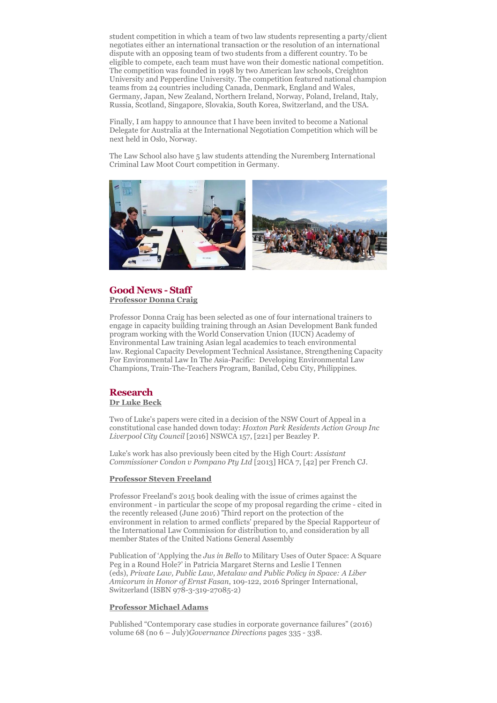student competition in which a team of two law students representing a party/client negotiates either an international transaction or the resolution of an international dispute with an opposing team of two students from a different country. To be eligible to compete, each team must have won their domestic national competition. The competition was founded in 1998 by two American law schools, Creighton University and Pepperdine University. The competition featured national champion teams from 24 countries including Canada, Denmark, England and Wales, Germany, Japan, New Zealand, Northern Ireland, Norway, Poland, Ireland, Italy, Russia, Scotland, Singapore, Slovakia, South Korea, Switzerland, and the USA.

Finally, I am happy to announce that I have been invited to become a National Delegate for Australia at the International Negotiation Competition which will be next held in Oslo, Norway.

The Law School also have 5 law students attending the Nuremberg International Criminal Law Moot Court competition in Germany.



## **Good News - Staff Professor Donna Craig**

Professor Donna Craig has been selected as one of four international trainers to engage in capacity building training through an Asian Development Bank funded program working with the World Conservation Union (IUCN) Academy of Environmental Law training Asian legal academics to teach environmental law. Regional Capacity Development Technical Assistance, Strengthening Capacity For Environmental Law In The Asia-Pacific: Developing Environmental Law Champions, Train-The-Teachers Program, Banilad, Cebu City, Philippines.

#### **Research Dr Luke Beck**

Two of Luke's papers were cited in a decision of the NSW Court of Appeal in a constitutional case handed down today: *Hoxton Park Residents Action Group Inc Liverpool City Council* [2016] NSWCA 157, [221] per Beazley P.

Luke's work has also previously been cited by the High Court: *Assistant Commissioner Condon v Pompano Pty Ltd* [2013] HCA 7, [42] per French CJ.

#### **Professor Steven Freeland**

Professor Freeland's 2015 book dealing with the issue of crimes against the environment - in particular the scope of my proposal regarding the crime - cited in the recently released (June 2016) 'Third report on the protection of the environment in relation to armed conflicts' prepared by the Special Rapporteur of the International Law Commission for distribution to, and consideration by all member States of the United Nations General Assembly

Publication of 'Applying the *Jus in Bello* to Military Uses of Outer Space: A Square Peg in a Round Hole?' in Patricia Margaret Sterns and Leslie I Tennen (eds), *Private Law, Public Law, Metalaw and Public Policy in Space: A Liber Amicorum in Honor of Ernst Fasan*, 109-122, 2016 Springer International, Switzerland (ISBN 978-3-319-27085-2)

### **Professor Michael Adams**

Published "Contemporary case studies in corporate governance failures" (2016) volume 68 (no 6 – July)*Governance Directions* pages 335 - 338.